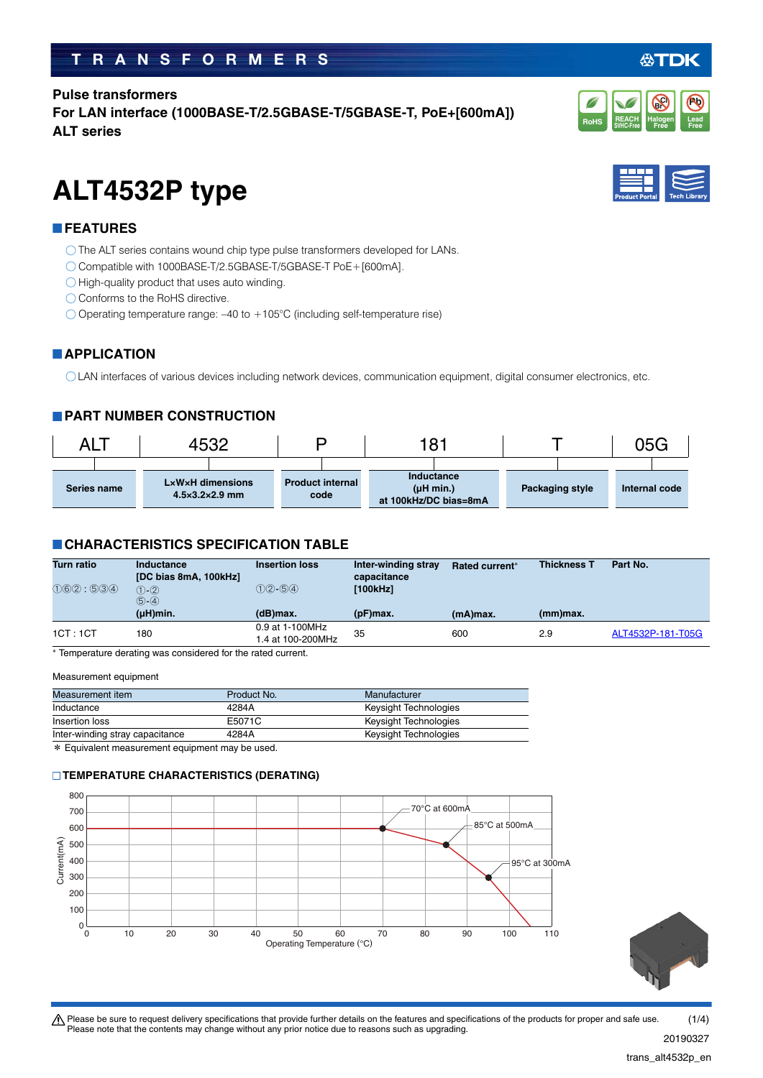# **TRANSFORMERS**

**Pulse transformers For LAN interface (1000BASE-T/2.5GBASE-T/5GBASE-T, PoE+[600mA]) ALT series**

# **ALT4532P type**

### **FEATURES**

O The ALT series contains wound chip type pulse transformers developed for LANs.

- Compatible with 1000BASE-T/2.5GBASE-T/5GBASE-T PoE+[600mA].
- $\bigcirc$  High-quality product that uses auto winding.
- Conforms to the RoHS directive.
- Operating temperature range: –40 to +105°C (including self-temperature rise)

## **APPLICATION**

LAN interfaces of various devices including network devices, communication equipment, digital consumer electronics, etc.

## **PART NUMBER CONSTRUCTION**

| ALT         | +532                                               |                                 | 181                                              |                 | 05G           |
|-------------|----------------------------------------------------|---------------------------------|--------------------------------------------------|-----------------|---------------|
| Series name | LxWxH dimensions<br>$4.5 \times 3.2 \times 2.9$ mm | <b>Product internal</b><br>code | Inductance<br>(µH min.)<br>at 100kHz/DC bias=8mA | Packaging style | Internal code |

### **CHARACTERISTICS SPECIFICATION TABLE**

| <b>Turn ratio</b> | Inductance<br>[DC bias 8mA, 100kHz]          | <b>Insertion loss</b>                | Inter-winding stray<br>capacitance | Rated current* | <b>Thickness T</b> | Part No.          |
|-------------------|----------------------------------------------|--------------------------------------|------------------------------------|----------------|--------------------|-------------------|
| (1)6(2) : 5(3)4   | $(1) - (2)$<br>$(5) - (4)$<br>$(\mu H)$ min. | $(1)(2) - (5)(4)$<br>$(d)$ max.      | [100kHz]<br>$(pF)$ max.            | (mA)max.       | (mm)max.           |                   |
| 1CT:1CT           | 180                                          | 0.9 at 1-100MHz<br>1.4 at 100-200MHz | 35                                 | 600            | 2.9                | ALT4532P-181-T05G |

Temperature derating was considered for the rated current.

#### Measurement equipment

| Measurement item                | Product No. | Manufacturer          |
|---------------------------------|-------------|-----------------------|
| Inductance                      | 4284A       | Keysight Technologies |
| Insertion loss                  | E5071C      | Keysight Technologies |
| Inter-winding stray capacitance | 4284A       | Keysight Technologies |

\* Equivalent measurement equipment may be used.

### **TEMPERATURE CHARACTERISTICS (DERATING)**









20190327  $(1/4)$ 

trans\_alt4532p\_en.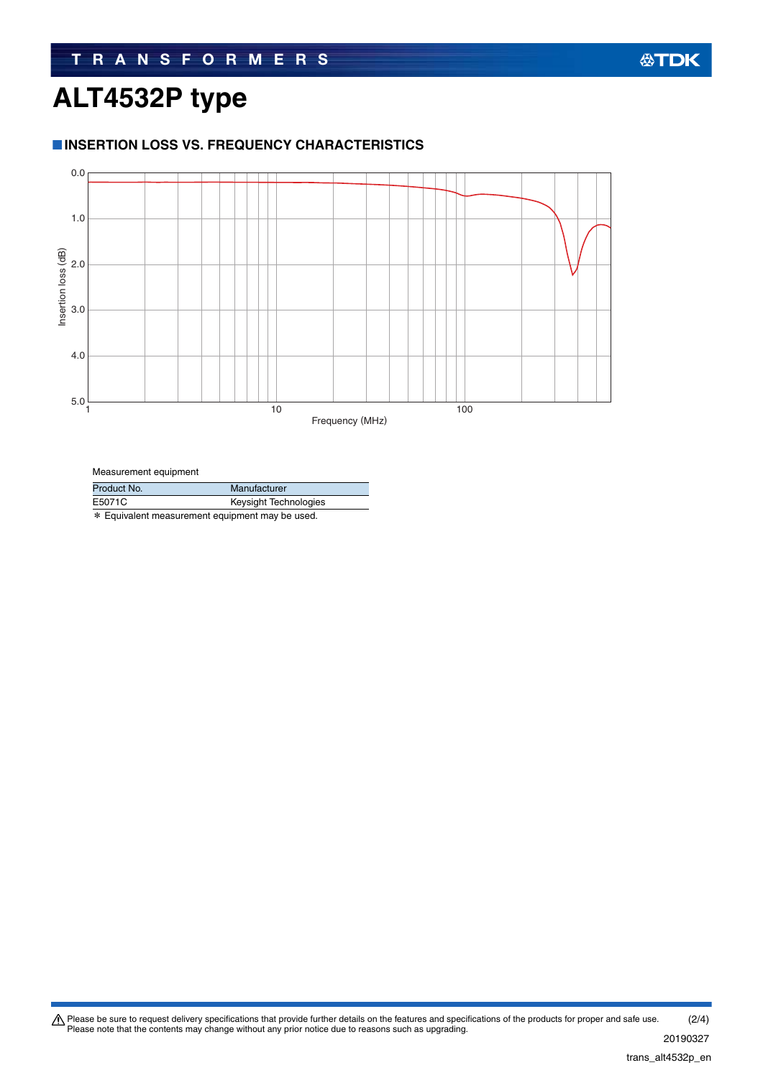## **公TDK**

# **ALT4532P type**

### **INSERTION LOSS VS. FREQUENCY CHARACTERISTICS**



#### Measurement equipment

| Product No. | Manufacturer          |  |
|-------------|-----------------------|--|
| E5071C      | Keysight Technologies |  |
|             |                       |  |

\* Equivalent measurement equipment may be used.

Please be sure to request delivery specifications that provide further details on the features and specifications of the products for proper and safe use.<br>Please note that the contents may change without any prior notice d 20190327 (2/4)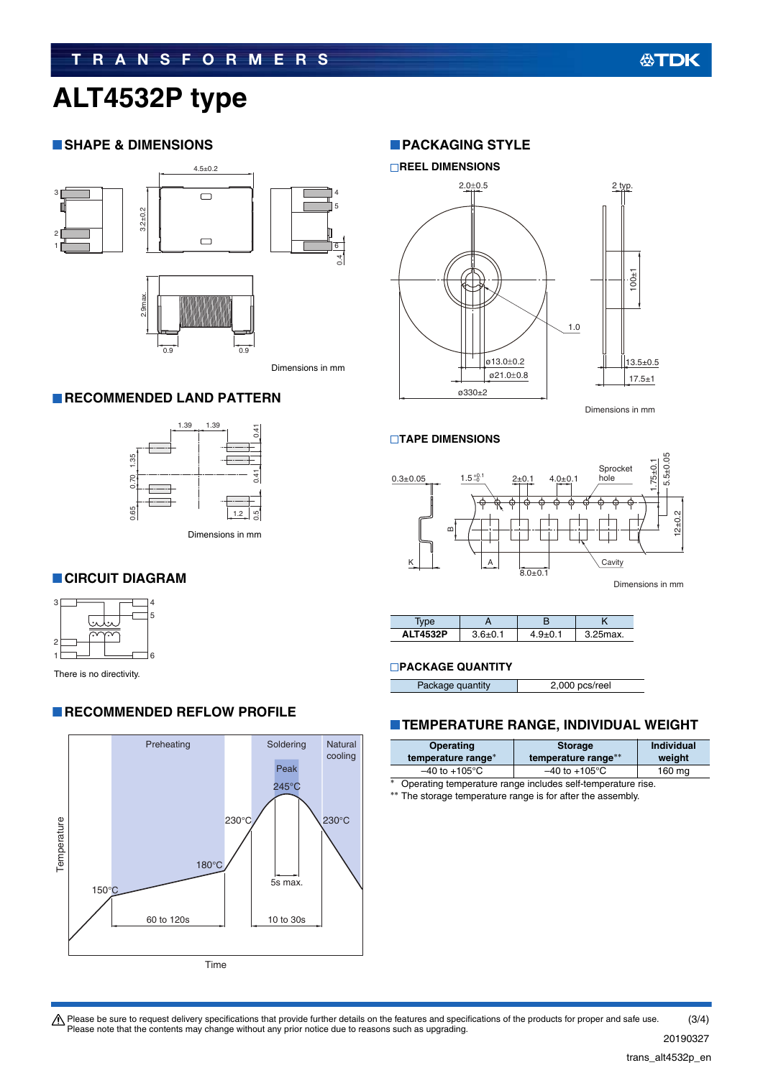# **TRANSFORMERS**

# **ALT4532P type**

### **SHAPE & DIMENSIONS**



### **RECOMMENDED LAND PATTERN**



### **CIRCUIT DIAGRAM**



There is no directivity.

### **RECOMMENDED REFLOW PROFILE**



### **PACKAGING STYLE**



Dimensions in mm

#### **TAPE DIMENSIONS**



| <b>ALT4532P</b> | $36+01$ | $9 + 0.1$ | 25max. |
|-----------------|---------|-----------|--------|

### **PACKAGE QUANTITY**

Package quantity 2,000 pcs/reel

### **TEMPERATURE RANGE, INDIVIDUAL WEIGHT**

| Operating<br>temperature range* | <b>Storage</b><br>temperature range** | <b>Individual</b><br>weight |
|---------------------------------|---------------------------------------|-----------------------------|
| $-40$ to $+105^{\circ}$ C       | $-40$ to $+105^{\circ}$ C             | 160 mg                      |
|                                 |                                       |                             |

Operating temperature range includes self-temperature rise.

\*\* The storage temperature range is for after the assembly.

Please be sure to request delivery specifications that provide further details on the features and specifications of the products for proper and safe use.<br>Please note that the contents may change without any prior notice d (3/4)